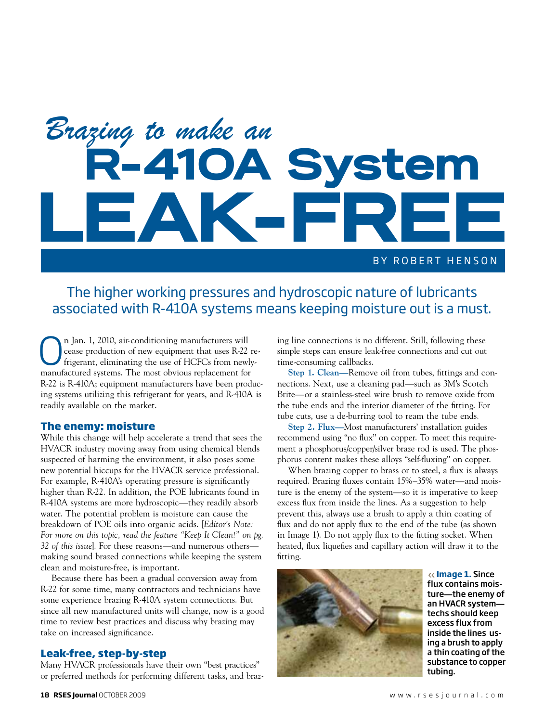# BY ROBERT HENSON R-410A System *Brazing to make an* LEAK-FREE

### The higher working pressures and hydroscopic nature of lubricants associated with R-410A systems means keeping moisture out is a must.

**On** Jan. 1, 2010, air-conditioning manufacturers will<br>cease production of new equipment that uses R-22 re<br>frigerant, eliminating the use of HCFCs from newly-<br>manufactured systems. The most obvious replacement for cease production of new equipment that uses R-22 remanufactured systems. The most obvious replacement for R-22 is R-410A; equipment manufacturers have been producing systems utilizing this refrigerant for years, and R-410A is readily available on the market.

#### **The enemy: moisture**

While this change will help accelerate a trend that sees the HVACR industry moving away from using chemical blends suspected of harming the environment, it also poses some new potential hiccups for the HVACR service professional. For example, R-410A's operating pressure is significantly higher than R-22. In addition, the POE lubricants found in R-410A systems are more hydroscopic—they readily absorb water. The potential problem is moisture can cause the breakdown of POE oils into organic acids. [*Editor's Note: For more on this topic, read the feature "Keep It Clean!" on pg. 32 of this issue*]. For these reasons—and numerous others making sound brazed connections while keeping the system clean and moisture-free, is important.

Because there has been a gradual conversion away from R-22 for some time, many contractors and technicians have some experience brazing R-410A system connections. But since all new manufactured units will change, now is a good time to review best practices and discuss why brazing may take on increased significance.

#### **Leak-free, step-by-step**

Many HVACR professionals have their own "best practices" or preferred methods for performing different tasks, and brazing line connections is no different. Still, following these simple steps can ensure leak-free connections and cut out time-consuming callbacks.

**Step 1. Clean—**Remove oil from tubes, fittings and connections. Next, use a cleaning pad—such as 3M's Scotch Brite—or a stainless-steel wire brush to remove oxide from the tube ends and the interior diameter of the fitting. For tube cuts, use a de-burring tool to ream the tube ends.

**Step 2. Flux—**Most manufacturers' installation guides recommend using "no flux" on copper. To meet this requirement a phosphorus/copper/silver braze rod is used. The phosphorus content makes these alloys "self-fluxing" on copper.

When brazing copper to brass or to steel, a flux is always required. Brazing fluxes contain 15%–35% water—and moisture is the enemy of the system—so it is imperative to keep excess flux from inside the lines. As a suggestion to help prevent this, always use a brush to apply a thin coating of flux and do not apply flux to the end of the tube (as shown in Image 1). Do not apply flux to the fitting socket. When heated, flux liquefies and capillary action will draw it to the fitting.



**Image 1.** Since flux contains moisture**—**the enemy of an HVACR system techs should keep excess flux from inside the lines using a brush to apply a thin coating of the substance to copper tubing.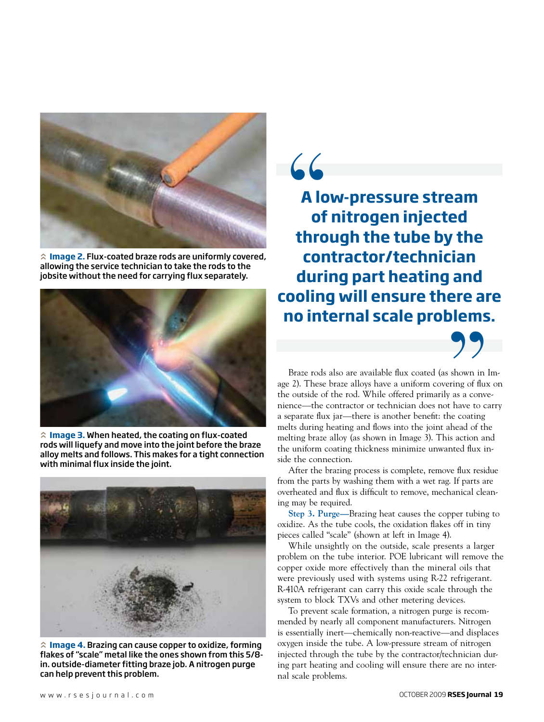

**Image 2.** Flux-coated braze rods are uniformly covered, allowing the service technician to take the rods to the jobsite without the need for carrying flux separately.



**Image 3.** When heated, the coating on flux-coated rods will liquefy and move into the joint before the braze alloy melts and follows. This makes for a tight connection with minimal flux inside the joint.



**Image 4.** Brazing can cause copper to oxidize, forming flakes of "scale" metal like the ones shown from this 5/8 in. outside-diameter fitting braze job. A nitrogen purge can help prevent this problem.

**A low-pressure stream of nitrogen injected through the tube by the contractor/technician during part heating and cooling will ensure there are no internal scale problems.**

"



Braze rods also are available flux coated (as shown in Image 2). These braze alloys have a uniform covering of flux on the outside of the rod. While offered primarily as a convenience—the contractor or technician does not have to carry a separate flux jar—there is another benefit: the coating melts during heating and flows into the joint ahead of the melting braze alloy (as shown in Image 3). This action and the uniform coating thickness minimize unwanted flux inside the connection. Solown in 1

After the brazing process is complete, remove flux residue from the parts by washing them with a wet rag. If parts are overheated and flux is difficult to remove, mechanical cleaning may be required.

**Step 3. Purge—**Brazing heat causes the copper tubing to oxidize. As the tube cools, the oxidation flakes off in tiny pieces called "scale" (shown at left in Image 4).

While unsightly on the outside, scale presents a larger problem on the tube interior. POE lubricant will remove the copper oxide more effectively than the mineral oils that were previously used with systems using R-22 refrigerant. R-410A refrigerant can carry this oxide scale through the system to block TXVs and other metering devices.

To prevent scale formation, a nitrogen purge is recommended by nearly all component manufacturers. Nitrogen is essentially inert—chemically non-reactive—and displaces oxygen inside the tube. A low-pressure stream of nitrogen injected through the tube by the contractor/technician during part heating and cooling will ensure there are no internal scale problems.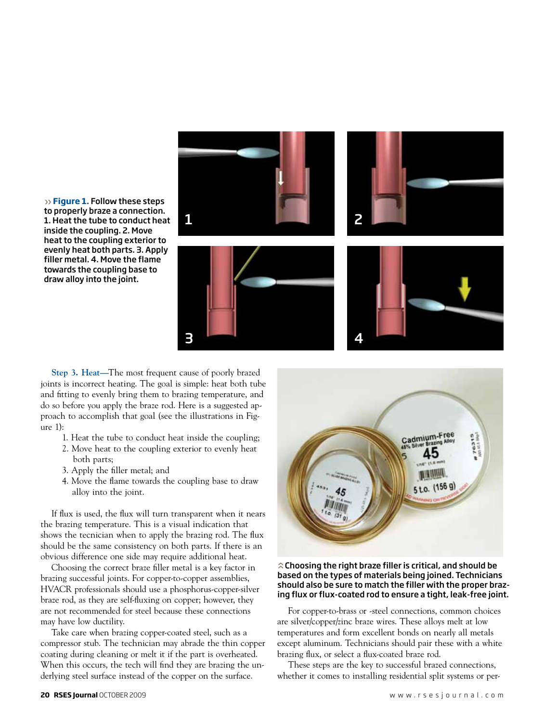

**Figure 1.** Follow these steps to properly braze a connection. 1. Heat the tube to conduct heat inside the coupling. 2. Move heat to the coupling exterior to evenly heat both parts. 3. Apply filler metal. 4. Move the flame towards the coupling base to draw alloy into the joint.

**Step 3. Heat—**The most frequent cause of poorly brazed joints is incorrect heating. The goal is simple: heat both tube and fitting to evenly bring them to brazing temperature, and do so before you apply the braze rod. Here is a suggested approach to accomplish that goal (see the illustrations in Figure 1):

- 1. Heat the tube to conduct heat inside the coupling;
- 2. Move heat to the coupling exterior to evenly heat both parts;
- 3. Apply the filler metal; and
- 4. Move the flame towards the coupling base to draw alloy into the joint.

If flux is used, the flux will turn transparent when it nears the brazing temperature. This is a visual indication that shows the tecnician when to apply the brazing rod. The flux should be the same consistency on both parts. If there is an obvious difference one side may require additional heat.

Choosing the correct braze filler metal is a key factor in brazing successful joints. For copper-to-copper assemblies, HVACR professionals should use a phosphorus-copper-silver braze rod, as they are self-fluxing on copper; however, they are not recommended for steel because these connections may have low ductility.

Take care when brazing copper-coated steel, such as a compressor stub. The technician may abrade the thin copper coating during cleaning or melt it if the part is overheated. When this occurs, the tech will find they are brazing the underlying steel surface instead of the copper on the surface.



#### $\hat{\lambda}$  Choosing the right braze filler is critical, and should be based on the types of materials being joined. Technicians should also be sure to match the filler with the proper brazing flux or flux-coated rod to ensure a tight, leak-free joint.

For copper-to-brass or -steel connections, common choices are silver/copper/zinc braze wires. These alloys melt at low temperatures and form excellent bonds on nearly all metals except aluminum. Technicians should pair these with a white brazing flux, or select a flux-coated braze rod.

These steps are the key to successful brazed connections, whether it comes to installing residential split systems or per-